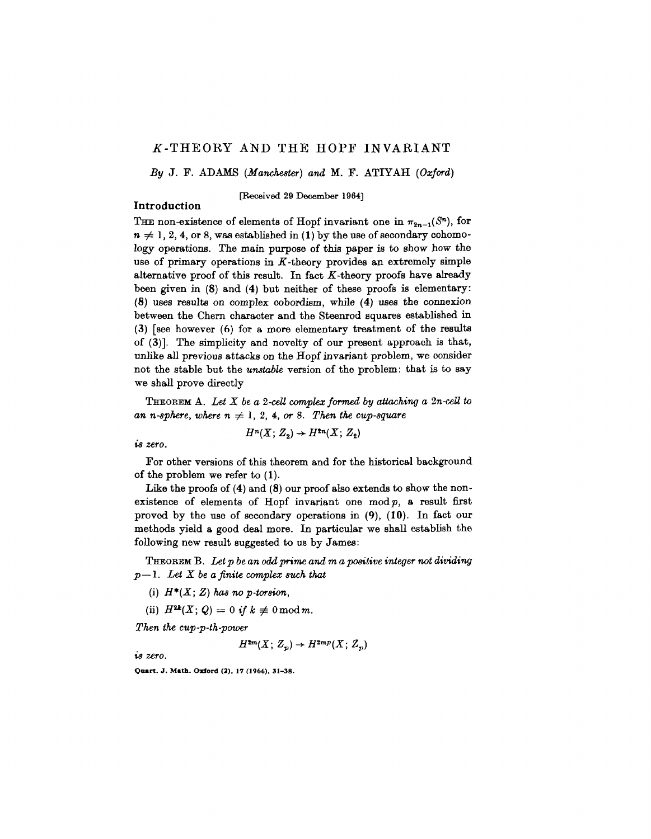# if-THEORY AND THE HOPF INVARIANT

*By* J. F. ADAMS *{Manchester) and* M. F. ATIYAH *{Oxford)*

[Received 29 December 1964]

# **Introduction**

THE non-existence of elements of Hopf invariant one in  $\pi_{2n-1}(S^n)$ , for  $n \neq 1, 2, 4$ , or 8, was established in (1) by the use of secondary cohomology operations. The main purpose of this paper is to show how the use of primary operations in  $K$ -theory provides an extremely simple alternative proof of this result. In fact  $K$ -theory proofs have already been given in (8) and (4) but neither of these proofs is elementary: (8) uses results on complex cobordism, while (4) uses the connexion between the Chern character and the Steenrod squares established in (3) [see however (6) for a more elementary treatment of the results of (3)]. The simplicity and novelty of our present approach is that, unlike all previous attacks on the Hopf invariant problem, we consider not the stable but the *unstable* version of the problem: that is to say we shall prove directly

**THEOREM** A. Let  $X$  be a 2-cell complex formed by attaching a  $2n$ -cell to *an n-sphere, where*  $n \neq 1, 2, 4,$  *or* 8. Then the cup-square

$$
H^{n}(X; Z_{2})\rightarrow H^{2n}(X; Z_{2})
$$

*is zero.*

For other versions of this theorem and for the historical background of the problem we refer to (1).

Like the proofs of (4) and (8) our proof also extends to show the nonexistence of elements of Hopf invariant one  $mod p$ , a result first proved by the use of secondary operations in (9), (10). In fact our methods yield a good deal more. In particular we shall establish the following new result suggested to us by James:

THEOREM B. *Let p be an odd prime and m a positive integer not dividing p—\. Let X be a finite complex such that*

- (i)  $H^*(X; Z)$  has no p-torsion,
- (ii)  $H^{2k}(X; Q) = 0$  if  $k \not\equiv 0 \mod m$ .

*Then the cup-p-th-power*

 $H^{2m}(X; Z_p) \rightarrow H^{2mp}(X; Z_p)$ 

*is zero.*

**Quart. J. Math. Oxford (2), 17 (1966), 31-38.**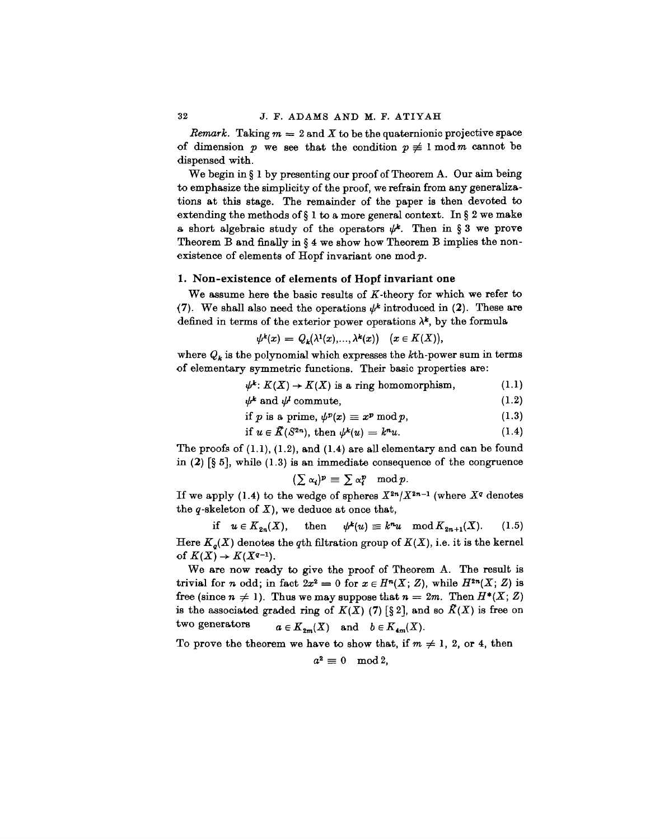*Remark.* Taking  $m = 2$  and X to be the quaternionic projective space of dimension p we see that the condition  $p \neq 1 \mod m$  cannot be dispensed with.

We begin in § 1 by presenting our proof of Theorem A. Our aim being to emphasize the simplicity of the proof, we refrain from any generalizations at this stage. The remainder of the paper is then devoted to extending the methods of  $\S$  1 to a more general context. In  $\S$  2 we make a short algebraic study of the operators  $\psi^k$ . Then in § 3 we prove Theorem B and finally in § 4 we show how Theorem B implies the nonexistence of elements of Hopf invariant one mod *p.*

# **1. Non-existence of elements of Hopf invariant one**

We assume here the basic results of  $K$ -theory for which we refer to (7). We shall also need the operations  $\psi^k$  introduced in (2). These are defined in terms of the exterior power operations  $\lambda^k$ , by the formula

$$
\psi^k(x) = Q_k(\lambda^1(x), \ldots, \lambda^k(x)) \quad (x \in K(X)),
$$

where  $Q_k$  is the polynomial which expresses the  $k$ <sup>th</sup>-power sum in terms of elementary symmetric functions. Their basic properties are:

$$
\psi^k: K(X) \to K(X) \text{ is a ring homomorphism, } \qquad (1.1)
$$

$$
\psi^k \text{ and } \psi^l \text{ commute}, \tag{1.2}
$$

if p is a prime, 
$$
\psi^p(x) \equiv x^p \bmod p
$$
, 
$$
(1.3)
$$

if 
$$
u \in \tilde{K}(S^{2n})
$$
, then  $\psi^k(u) = k^n u$ . (1.4)

The proofs of (1.1), (1.2), and (1.4) are all elementary and can be found in  $(2)$   $[\S 5]$ , while  $(1.3)$  is an immediate consequence of the congruence

$$
(\sum \alpha_i)^p \equiv \sum \alpha_i^p \mod p.
$$

If we apply (1.4) to the wedge of spheres  $X^{2n}/X^{2n-1}$  (where  $X^q$  denotes the  $q$ -skeleton of  $X$ ), we deduce at once that,

if  $u \in K_{2n}(X)$ , then  $\psi^k(u) \equiv k^n u \mod K_{2n+1}(X)$ . (1.5) Here  $K_q(X)$  denotes the *q*th filtration group of  $K(X)$ , i.e. it is the kernel of  $K(X) \rightarrow K(X^{q-1})$ .

We are now ready to give the proof of Theorem A. The result is trivial for *n* odd; in fact  $2x^2 = 0$  for  $x \in H^n(X; Z)$ , while  $H^{2n}(X; Z)$  is free (since  $n \neq 1$ ). Thus we may suppose that  $n = 2m$ . Then  $H^*(X; Z)$ is the associated graded ring of  $K(X)$  (7) [§ 2], and so  $\bar{K}(X)$  is free on<br>two generators  $a \in K$  (*X*) and  $b \in K$  (*X*)  $a \in K_{2m}(X)$  and  $b \in K_{4m}(X)$ .

To prove the theorem we have to show that, if  $m \neq 1, 2$ , or 4, then

$$
a^2\equiv 0\mod 2,
$$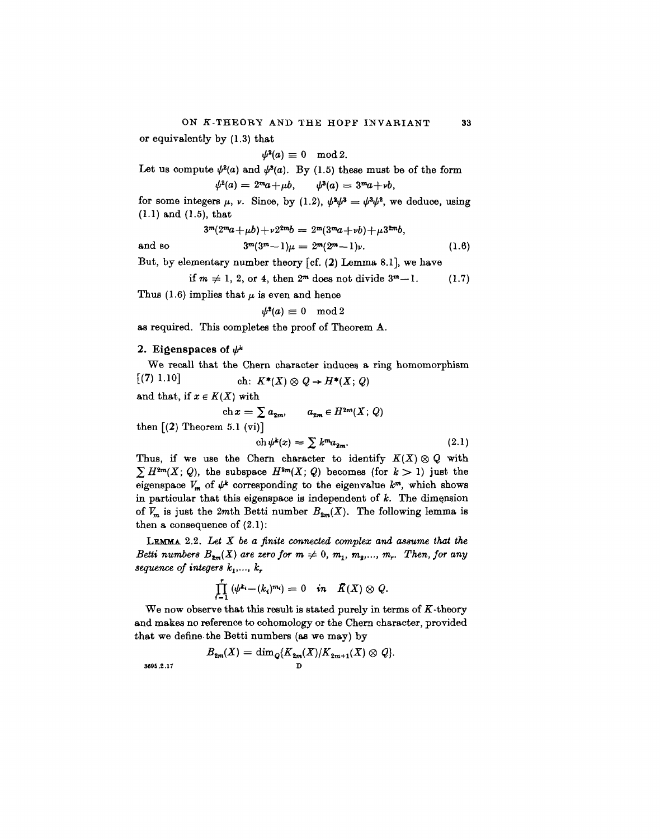or equivalently by (1.3) that

 $\psi^2(a) \equiv 0 \mod 2$ .

Let us compute  $\psi^2(a)$  and  $\psi^3(a)$ . By (1.5) these must be of the form  $\psi^2(a) = 2^m a + \mu b,$  $\psi^3(a) = 3^m a + \nu b,$ 

for some integers  $\mu$ ,  $\nu$ . Since, by (1.2),  $\psi^2 \psi^3 = \psi^2 \psi^2$ , we deduce, using (1.1) and (1.5), that

$$
3^m(2^ma+\mu b)+\nu 2^{2m}b = 2^m(3^ma+\nu b)+\mu 3^{2m}b,
$$

and so *fr<sup>1</sup>*  $3^{m}(3^{m}-1)\mu = 2^{m}(2^{m}-1)\nu.$  (1.6)

But, by elementary number theory [cf. (2) Lemma 8.1], we have

if  $m \neq 1, 2$ , or 4, then  $2^m$  does not divide  $3^m-1$ . (1.7)

Thus (1.6) implies that  $\mu$  is even and hence

$$
\psi^{\mathbf{2}}(a) \equiv 0 \mod 2
$$

as required. This completes the proof of Theorem A.

# 2. Eigenspaces of  $\psi^k$

We recall that the Chem character induces a ring homomorphism  $(7)$ ch:  $K^*(X) \otimes Q \rightarrow H^*(X; Q)$ 

and that, if  $x \in K(X)$  with

$$
\operatorname{ch} x = \sum a_{2m}, \qquad a_{2m} \in H^{2m}(X; Q)
$$

then  $(2)$  Theorem 5.1 (vi)]

$$
\operatorname{ch}\psi^k(x) = \sum k^m a_{2m}.\tag{2.1}
$$

Thus, if we use the Chern character to identify  $K(X) \otimes Q$  with  $\sum H^{2m}(X; Q)$ , the subspace  $H^{2m}(X; Q)$  becomes (for  $k > 1$ ) just the eigenspace  $V_m$  of  $\psi^k$  corresponding to the eigenvalue  $k^m$ , which shows in particular that this eigenspace is independent of *k.* The dimension of  $V_m$  is just the 2mth Betti number  $B_{2m}(X)$ . The following lemma is then a consequence of  $(2.1)$ :

LEMMA. 2.2. *Lei X be a finite connected complex and assume that the Betti numbers*  $B_{2m}(X)$  are zero for  $m \neq 0$ ,  $m_1$ ,  $m_2$ ,...,  $m_r$ . Then, for any *sequence of integers*  $k_1$ ,...,  $k_7$ 

$$
\prod_{i=1}^r\left(\psi^{k_i}-(k_i)^{m_i}\right)=0 \quad in \quad \tilde{K}(X)\otimes Q.
$$

We now observe that this result is stated purely in terms of  $K$ -theory and makes no reference to oohomology or the Chern character, provided that we define the Betti numbers (as we may) by

$$
B_{\mathbf{2}m}(X)=\dim_{\mathcal{Q}}\langle K_{\mathbf{2}m}(X)/K_{\mathbf{2}m+1}(X)\otimes Q\rangle.
$$

**3\*96.2.17 D**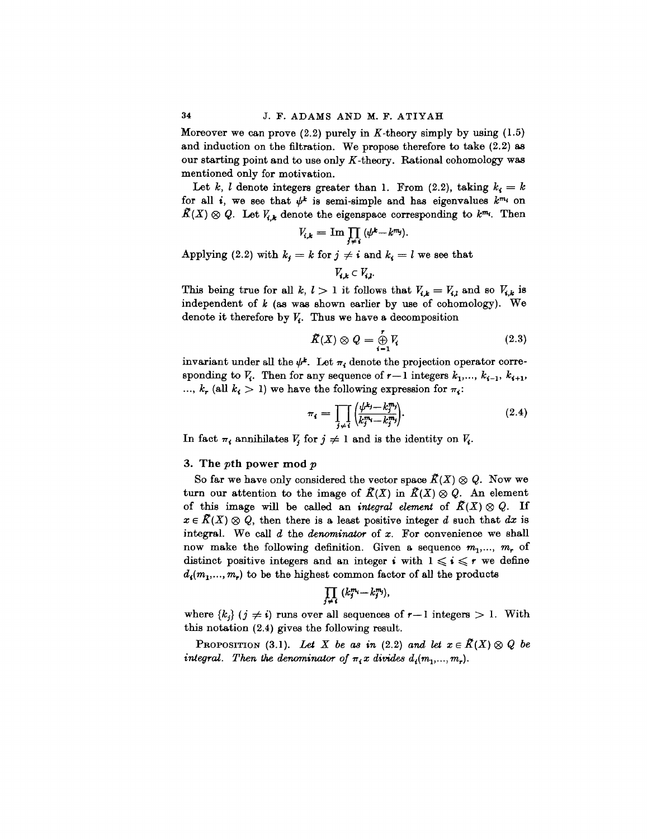Moreover we can prove  $(2.2)$  purely in K-theory simply by using  $(1.5)$ and induction on the filtration. We propose therefore to take (2.2) as our starting point and to use only  $K$ -theory. Rational cohomology was mentioned only for motivation.

Let  $k$ ,  $l$  denote integers greater than 1. From  $(2.2)$ , taking  $k_i = k$ for all *i*, we see that  $\psi^k$  is semi-simple and has eigenvalues  $k^{m_i}$  on  $\tilde{K}(X) \otimes Q$ . Let  $V_{i,k}$  denote the eigenspace corresponding to  $k^{m_i}$ . Then

$$
V_{i,k} = \operatorname{Im} \prod_{j \neq i} (\psi^k - k^{m_j}).
$$

Applying (2.2) with  $k_j = k$  for  $j \neq i$  and  $k_i = l$  we see that

 $V_{i,k} \subset V_{i,k}$ 

This being true for all  $k, l > 1$  it follows that  $V_{ik} = V_{i,l}$  and so  $V_{i,k}$  is independent of *k* (as was shown earlier by use of cohomology). We denote it therefore by  $V_t$ . Thus we have a decomposition

$$
\tilde{K}(X) \otimes Q = \bigoplus_{i=1}^{r} V_i \tag{2.3}
$$

invariant under all the  $\psi^*$ . Let  $\pi_i$  denote the projection operator corresponding to  $\bar{V}_i$ . Then for any sequence of  $r-1$  integers  $k_1, \ldots, k_{i-1}, k_{i+1}$ ,  $k_r$  (all  $k_i > 1$ ) we have the following expression for  $\pi_i$ :

$$
\pi_i = \prod_{j \neq i} \left( \frac{\psi^{k_j} - k_j^m}{k_j^m - k_j^m} \right). \tag{2.4}
$$

In fact  $\pi_i$  annihilates  $V_j$  for  $j \neq 1$  and is the identity on  $V_i$ .

### 3. The *pth* power mod *p*

So far we have only considered the vector space  $\tilde{K}(X) \otimes Q$ . Now we turn our attention to the image of  $\tilde{K}(X)$  in  $\tilde{K}(X) \otimes Q$ . An element of this image will be called an *integral element* of  $K(X) \otimes Q$ . If  $x \in R(X) \otimes Q$ , then there is a least positive integer *d* such that dx is integral. We call *d* the *denominator* of *x.* For convenience we shall now make the following definition. Given a sequence  $m_1, ..., m_r$  of distinct positive integers and an integer *i* with  $1 \leq i \leq r$  we define  $d_{i}(m_{1},...,m_{r})$  to be the highest common factor of all the products

$$
\prod_{j\neq i} (k_j^{m_i} \!-\! k_j^{m_j}),
$$

where  ${k_i}$   $(j \neq i)$  runs over all sequences of  $r-1$  integers  $> 1$ . With this notation (2.4) gives the following result.

PROPOSITION (3.1). Let X be as in (2.2) and let  $x \in \mathcal{K}(X) \otimes Q$  be *integral. Then the denominator of*  $\pi$ <sub>*i</sub>x* divides  $d$ <sub>*i*</sub> $(m$ <sub>1</sub>*,...,* $m$ <sub>*r*</sub> $)$ *.*</sub>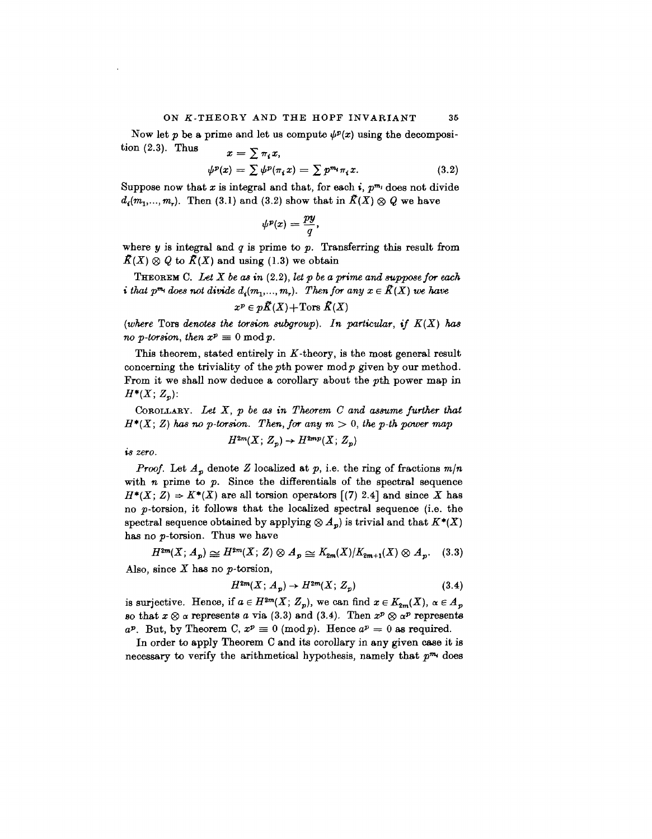#### ON K-THEORY AND THE HOPF INVARIANT 35

Now let p be a prime and let us compute  $\psi^p(x)$  using the decomposition  $(2.3)$ . Thus  $x = \sum \pi_i x$ 

$$
\psi^p(x) = \sum \psi^p(\pi_i x) = \sum p^{m_i} \pi_i x. \tag{3.2}
$$

Suppose now that x is integral and that, for each  $i$ ,  $p^{m_i}$  does not divide  $d_i(m_1,...,m_r)$ . Then (3.1) and (3.2) show that in  $\tilde{K}(X) \otimes Q$  we have

$$
\psi^p(x) = \frac{py}{q},
$$

where y is integral and *q* is prime to *p.* Transferring this result from  $\overline{K}(X) \otimes Q$  to  $\overline{K}(X)$  and using (1.3) we obtain

THEOREM C. *Let X be as in* (2.2), *let p be a prime and suppose for each i that p<sup>m<sub>i</sub></sup> does not divide*  $d_i(m_1,..., m_r)$ *. Then for any*  $x \in \mathcal{K}(X)$  *we have* 

$$
x^p \in p\tilde{K}(X) + \text{Tors }\tilde{K}(X)
$$

*(where* Tors *denotes the torsion subgroup). In particular, if K(X) has no* p-torsion, then  $x^p \equiv 0 \bmod p$ .

This theorem, stated entirely in *K*-theory, is the most general result concerning the triviality of the  $p$ th power mod $p$  given by our method. From it we shall now deduce a corollary about the pth power map in  $H^*(X; Z_p)$ :

COBOLLABY. *Let X, p be as in Theorem C and assume further that*  $H^*(X; Z)$  has no p-torsion. Then, for any  $m > 0$ , the p-th power map

$$
H^{2m}(X; Z_p) \to H^{2mp}(X; Z_p)
$$

*is zero.*

*Proof.* Let *Ap* denote *Z* localized at *p,* i.e. the ring of fractions *m/n* with *n* prime to *p.* Since the differentials of the spectral sequence  $H^*(X; Z) \Rightarrow K^*(X)$  are all torsion operators  $(7)$  2.4] and since X has no p-torsion, it follows that the localized spectral sequence (i.e. the spectral sequence obtained by applying  $\otimes A_p$  is trivial and that  $K^*(X)$ has no p-torsion. Thus we have

$$
H^{2m}(X; A_p) \simeq H^{2m}(X; Z) \otimes A_p \simeq K_{2m}(X)/K_{2m+1}(X) \otimes A_p. \quad (3.3)
$$

Also, since *X* has no p-torsion,

$$
H^{2m}(X; A_p) \to H^{2m}(X; Z_p) \tag{3.4}
$$

is surjective. Hence, if  $a \in H^{3m}(X; Z_p)$ , we can find  $x \in K_{2m}(X)$ ,  $\alpha \in A_p$ so that  $x \otimes a$  represents *a* via (3.3) and (3.4). Then  $x^p \otimes a^p$  represents  $a^p$ . But, by Theorem C,  $x^p \equiv 0 \pmod{p}$ . Hence  $a^p = 0$  as required.

In order to apply Theorem C and its corollary in any given case it is necessary to verify the arithmetical hypothesis, namely that  $p^{m_i}$  does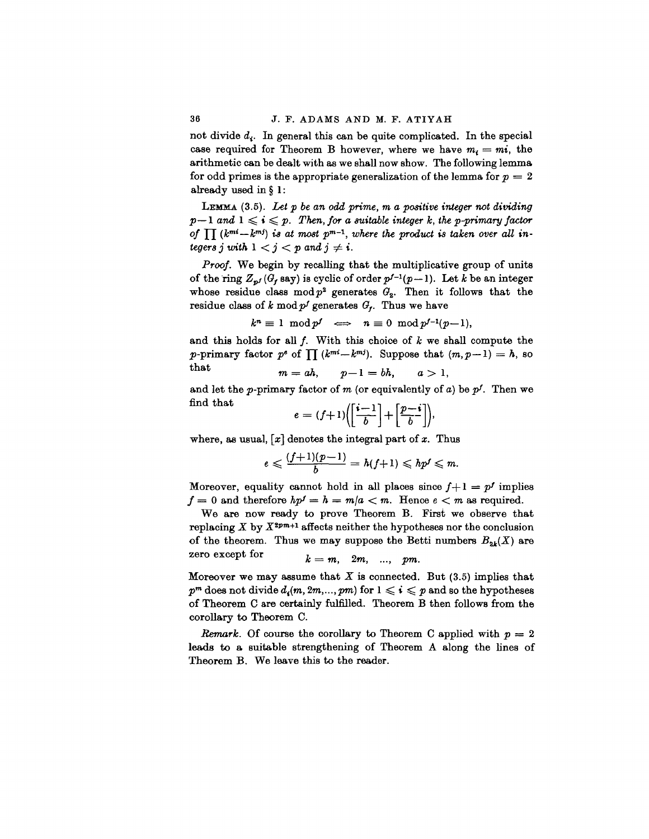not divide *d<sup>t</sup> .* In general this can be quite complicated. In the special case required for Theorem B however, where we have  $m_i = mi$ , the arithmetic can be dealt with as we shall now show. The following lemma for odd primes is the appropriate generalization of the lemma for  $p = 2$ already used in § 1:

LEMMA (3.5). *Let p be an odd prime, m a positive integer not dividing*  $p-1$  and  $1 \leq i \leq p$ . Then, for a suitable integer k, the p-primary factor of  $\prod (k^{mi}-k^{mj})$  is at most  $p^{m-1}$ , where the product is taken over all in*tegers j with*  $1 < j < p$  and  $j \neq i$ .

*Proof.* We begin by recalling that the multiplicative group of units of the ring  $Z_{p'}(G_f \text{ say})$  is cyclic of order  $p^{f-1}(p-1)$ . Let *k* be an integer whose residue class  $mod p^2$  generates  $G_2$ . Then it follows that the residue class of  $k \mod p^f$  generates  $G_f$ . Thus we have

$$
k^n \equiv 1 \mod p^f \iff n \equiv 0 \mod p^{f-1}(p-1),
$$

and this holds for all /. With this choice of *k* we shall compute the *p*-primary factor  $p^e$  of  $\prod (k^{mi}-k^{mj})$ . Suppose that  $(m,p-1) = h$ , so that  $m = ah, \qquad p-1 = bh, \qquad a > 1,$ 

and let the *p*-primary factor of *m* (or equivalently of *a*) be  $p<sup>f</sup>$ . Then we find that

$$
e = (f+1) \left( \left[ \frac{i-1}{b} \right] + \left[ \frac{p-i}{b} \right] \right),
$$

where, as usual,  $[x]$  denotes the integral part of x. Thus

$$
e\leqslant \frac{(f+1)(p-1)}{b}=h(f+1)\leqslant hp^f\leqslant m.
$$

Moreover, equality cannot hold in all places since  $f+1 = p^f$  implies  $f = 0$  and therefore  $hp' = h = m/a < m$ . Hence  $e < m$  as required.

We are now ready to prove Theorem B. First we observe that replacing  $X$  by  $X^{2p-1}$  affects neither the hypotheses nor the conclusion of the theorem. Thus we may suppose the Betti numbers  $B_{2k}(X)$  are zero except for  $k = m$ ,  $2m$ , ...,  $pm$ .

Moreover we may assume that  $X$  is connected. But  $(3.5)$  implies that  $p^m$  does not divide  $d_i(m, 2m, ..., pm)$  for  $1 \leq i \leq p$  and so the hypotheses of Theorem C are certainly fulfilled. Theorem B then follows from the corollary to Theorem C.

*Remark.* Of course the corollary to Theorem C applied with  $p = 2$ leads to a suitable strengthening of Theorem A along the lines of Theorem B. We leave this to the reader.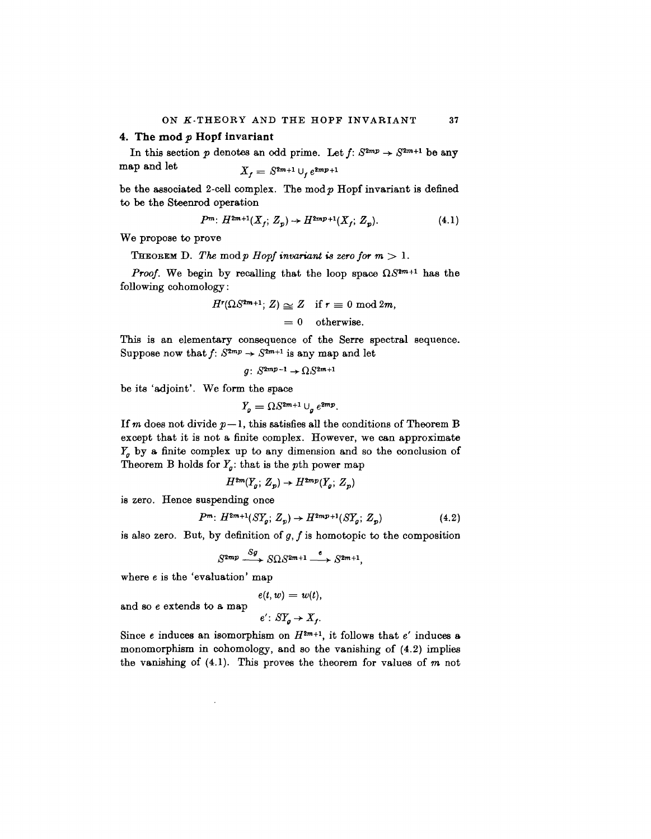#### **4. The mod** *p* **Hopf invariant**

In this section p denotes an odd prime. Let  $f: S^{2mp} \to S^{2m+1}$  be any map and let  $X_{t} = S^{2m+1} \cup_{t} e^{2mp+1}$ 

be the associated 2-cell complex. The mod  $p$  Hopf invariant is defined to be the Steenrod operation

$$
P^{m} \colon H^{2m+1}(X_f; Z_p) \to H^{2mp+1}(X_f; Z_p). \tag{4.1}
$$

We propose to prove

**THEOREM** D. The mod p Hopf invariant is zero for  $m > 1$ .

*Proof.* We begin by recalling that the loop space  $\Omega S^{2m+1}$  has the following cohomology:

$$
H^{r}(\Omega S^{2m+1}; Z) \simeq Z \quad \text{if } r \equiv 0 \text{ mod } 2m,
$$

 $= 0$  otherwise.

This is an elementary consequence of the Serre spectral sequence. Suppose now that  $f: S^{2mp} \to S^{2m+1}$  is any map and let

$$
g\colon\thinspace S^{2mp-1}\to \Omega S^{2m+1}
$$

be its 'adjoint'. We form the space

$$
Y_q = \Omega S^{2m+1} \cup_q e^{2mp}.
$$

If *m* does not divide  $p-1$ , this satisfies all the conditions of Theorem B except that it is not a finite complex. However, we can approximate  $Y_g$  by a finite complex up to any dimension and so the conclusion of Theorem B holds for  $Y_g$ *;* that is the pth power map

$$
H^{2m}(Y_g; Z_p) \to H^{2mp}(Y_g; Z_p)
$$

is zero. Hence suspending once

$$
P^{m} \colon H^{2m+1}(SY_g; Z_p) \to H^{2mp+1}(SY_g; Z_p) \tag{4.2}
$$

is also zero. But, by definition of *g, f* is homotopic to the composition

$$
S^{2mp} \xrightarrow{Sg} S\Omega S^{2m+1} \xrightarrow{e} S^{2m+1},
$$

where e is the 'evaluation' map

$$
e(t, w) = w(t),
$$
  

$$
e': ST_{g} \rightarrow X_{f}.
$$

and so e extends to a map

Since *e* induces an isomorphism on 
$$
H^{2m+1}
$$
, it follows that *e'* induces a monomorphism in cohomology, and so the vanishing of  $(4.2)$  implies the vanishing of  $(4.1)$ . This proves the theorem for values of *m* not